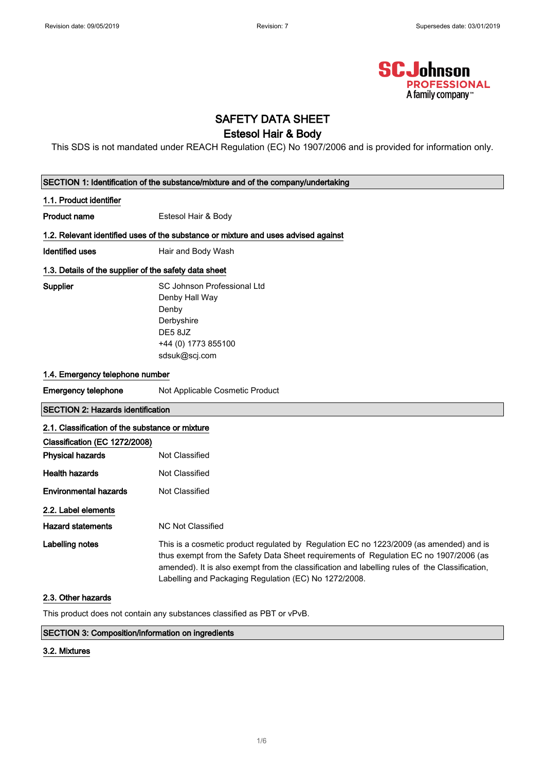

## SAFETY DATA SHEET

## Estesol Hair & Body

This SDS is not mandated under REACH Regulation (EC) No 1907/2006 and is provided for information only.

| SECTION 1: Identification of the substance/mixture and of the company/undertaking |                                                                                                                                                                                                                                                                                                                                            |  |  |  |
|-----------------------------------------------------------------------------------|--------------------------------------------------------------------------------------------------------------------------------------------------------------------------------------------------------------------------------------------------------------------------------------------------------------------------------------------|--|--|--|
| 1.1. Product identifier                                                           |                                                                                                                                                                                                                                                                                                                                            |  |  |  |
| <b>Product name</b>                                                               | Estesol Hair & Body                                                                                                                                                                                                                                                                                                                        |  |  |  |
|                                                                                   | 1.2. Relevant identified uses of the substance or mixture and uses advised against                                                                                                                                                                                                                                                         |  |  |  |
| <b>Identified uses</b>                                                            | Hair and Body Wash                                                                                                                                                                                                                                                                                                                         |  |  |  |
| 1.3. Details of the supplier of the safety data sheet                             |                                                                                                                                                                                                                                                                                                                                            |  |  |  |
| Supplier                                                                          | SC Johnson Professional Ltd<br>Denby Hall Way                                                                                                                                                                                                                                                                                              |  |  |  |
|                                                                                   | Denby<br>Derbyshire<br>DE5 8JZ                                                                                                                                                                                                                                                                                                             |  |  |  |
|                                                                                   | +44 (0) 1773 855100<br>sdsuk@scj.com                                                                                                                                                                                                                                                                                                       |  |  |  |
| 1.4. Emergency telephone number                                                   |                                                                                                                                                                                                                                                                                                                                            |  |  |  |
| <b>Emergency telephone</b>                                                        | Not Applicable Cosmetic Product                                                                                                                                                                                                                                                                                                            |  |  |  |
| <b>SECTION 2: Hazards identification</b>                                          |                                                                                                                                                                                                                                                                                                                                            |  |  |  |
| 2.1. Classification of the substance or mixture                                   |                                                                                                                                                                                                                                                                                                                                            |  |  |  |
| Classification (EC 1272/2008)                                                     |                                                                                                                                                                                                                                                                                                                                            |  |  |  |
| <b>Physical hazards</b>                                                           | Not Classified                                                                                                                                                                                                                                                                                                                             |  |  |  |
| <b>Health hazards</b>                                                             | Not Classified                                                                                                                                                                                                                                                                                                                             |  |  |  |
| <b>Environmental hazards</b>                                                      | Not Classified                                                                                                                                                                                                                                                                                                                             |  |  |  |
| 2.2. Label elements                                                               |                                                                                                                                                                                                                                                                                                                                            |  |  |  |
| <b>Hazard statements</b>                                                          | <b>NC Not Classified</b>                                                                                                                                                                                                                                                                                                                   |  |  |  |
| <b>Labelling notes</b>                                                            | This is a cosmetic product regulated by Regulation EC no 1223/2009 (as amended) and is<br>thus exempt from the Safety Data Sheet requirements of Regulation EC no 1907/2006 (as<br>amended). It is also exempt from the classification and labelling rules of the Classification,<br>Labelling and Packaging Regulation (EC) No 1272/2008. |  |  |  |
| 2.3. Other hazards                                                                |                                                                                                                                                                                                                                                                                                                                            |  |  |  |

This product does not contain any substances classified as PBT or vPvB.

SECTION 3: Composition/information on ingredients

### 3.2. Mixtures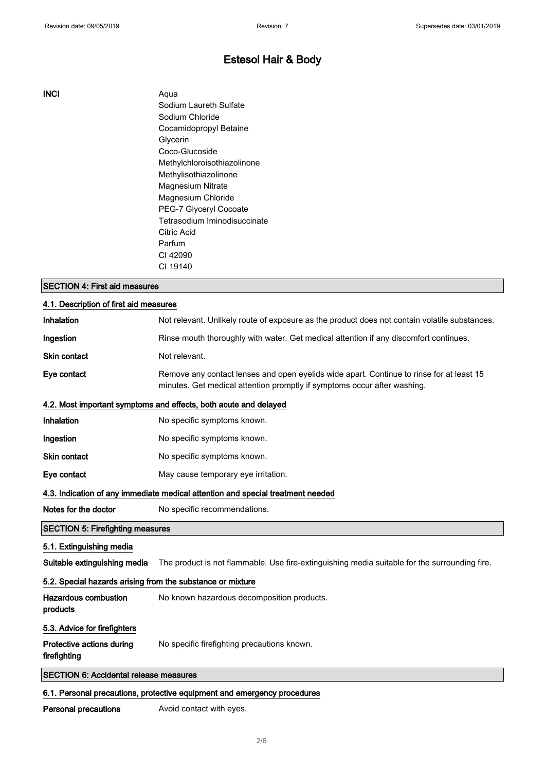### INCI Aqua

Sodium Laureth Sulfate Sodium Chloride Cocamidopropyl Betaine Glycerin Coco-Glucoside Methylchloroisothiazolinone Methylisothiazolinone Magnesium Nitrate Magnesium Chloride PEG-7 Glyceryl Cocoate Tetrasodium Iminodisuccinate Citric Acid Parfum CI 42090 CI 19140

### SECTION 4: First aid measures

| 4.1. Description of first aid measures                                   |                                                                                                                                                                      |  |  |  |
|--------------------------------------------------------------------------|----------------------------------------------------------------------------------------------------------------------------------------------------------------------|--|--|--|
| Inhalation                                                               | Not relevant. Unlikely route of exposure as the product does not contain volatile substances.                                                                        |  |  |  |
| Ingestion                                                                | Rinse mouth thoroughly with water. Get medical attention if any discomfort continues.                                                                                |  |  |  |
| Skin contact                                                             | Not relevant.                                                                                                                                                        |  |  |  |
| Eye contact                                                              | Remove any contact lenses and open eyelids wide apart. Continue to rinse for at least 15<br>minutes. Get medical attention promptly if symptoms occur after washing. |  |  |  |
|                                                                          | 4.2. Most important symptoms and effects, both acute and delayed                                                                                                     |  |  |  |
| Inhalation                                                               | No specific symptoms known.                                                                                                                                          |  |  |  |
| Ingestion                                                                | No specific symptoms known.                                                                                                                                          |  |  |  |
| <b>Skin contact</b>                                                      | No specific symptoms known.                                                                                                                                          |  |  |  |
| Eye contact                                                              | May cause temporary eye irritation.                                                                                                                                  |  |  |  |
|                                                                          | 4.3. Indication of any immediate medical attention and special treatment needed                                                                                      |  |  |  |
| Notes for the doctor                                                     | No specific recommendations.                                                                                                                                         |  |  |  |
| <b>SECTION 5: Firefighting measures</b>                                  |                                                                                                                                                                      |  |  |  |
| 5.1. Extinguishing media                                                 |                                                                                                                                                                      |  |  |  |
| Suitable extinguishing media                                             | The product is not flammable. Use fire-extinguishing media suitable for the surrounding fire.                                                                        |  |  |  |
| 5.2. Special hazards arising from the substance or mixture               |                                                                                                                                                                      |  |  |  |
| <b>Hazardous combustion</b><br>products                                  | No known hazardous decomposition products.                                                                                                                           |  |  |  |
| 5.3. Advice for firefighters                                             |                                                                                                                                                                      |  |  |  |
| Protective actions during<br>firefighting                                | No specific firefighting precautions known.                                                                                                                          |  |  |  |
| <b>SECTION 6: Accidental release measures</b>                            |                                                                                                                                                                      |  |  |  |
| 6.1. Personal precautions, protective equipment and emergency procedures |                                                                                                                                                                      |  |  |  |

Personal precautions **Avoid contact with eyes.**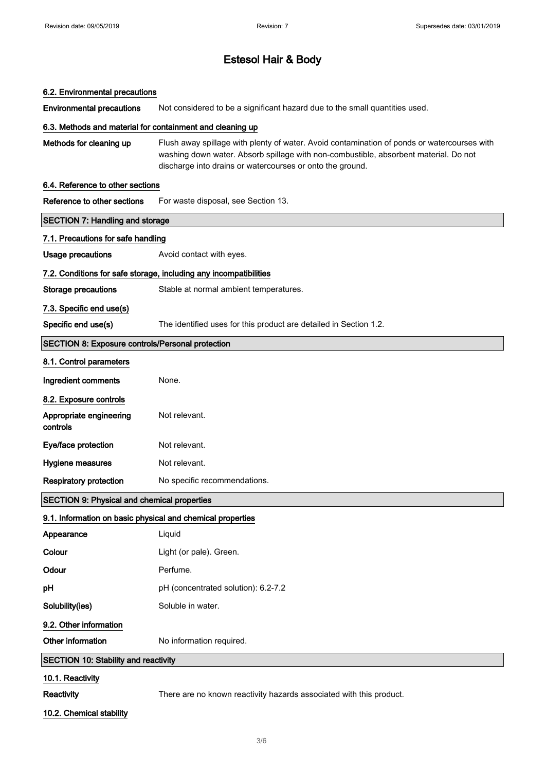#### 6.2. Environmental precautions

Environmental precautions Not considered to be a significant hazard due to the small quantities used.

#### 6.3. Methods and material for containment and cleaning up

Methods for cleaning up Flush away spillage with plenty of water. Avoid contamination of ponds or watercourses with washing down water. Absorb spillage with non-combustible, absorbent material. Do not discharge into drains or watercourses or onto the ground.

#### 6.4. Reference to other sections

Reference to other sections For waste disposal, see Section 13.

| <b>SECTION 7: Handling and storage</b>                            |                                                                     |  |  |  |
|-------------------------------------------------------------------|---------------------------------------------------------------------|--|--|--|
| 7.1. Precautions for safe handling                                |                                                                     |  |  |  |
| <b>Usage precautions</b>                                          | Avoid contact with eyes.                                            |  |  |  |
| 7.2. Conditions for safe storage, including any incompatibilities |                                                                     |  |  |  |
| <b>Storage precautions</b>                                        | Stable at normal ambient temperatures.                              |  |  |  |
| 7.3. Specific end use(s)                                          |                                                                     |  |  |  |
| Specific end use(s)                                               | The identified uses for this product are detailed in Section 1.2.   |  |  |  |
| SECTION 8: Exposure controls/Personal protection                  |                                                                     |  |  |  |
| 8.1. Control parameters                                           |                                                                     |  |  |  |
| Ingredient comments                                               | None.                                                               |  |  |  |
| 8.2. Exposure controls                                            |                                                                     |  |  |  |
| Appropriate engineering<br>controls                               | Not relevant.                                                       |  |  |  |
| Eye/face protection                                               | Not relevant.                                                       |  |  |  |
| Hygiene measures                                                  | Not relevant.                                                       |  |  |  |
| <b>Respiratory protection</b>                                     | No specific recommendations.                                        |  |  |  |
| <b>SECTION 9: Physical and chemical properties</b>                |                                                                     |  |  |  |
| 9.1. Information on basic physical and chemical properties        |                                                                     |  |  |  |
| Appearance                                                        | Liquid                                                              |  |  |  |
| Colour                                                            | Light (or pale). Green.                                             |  |  |  |
| Odour                                                             | Perfume.                                                            |  |  |  |
| рH                                                                | pH (concentrated solution): 6.2-7.2                                 |  |  |  |
| Solubility(ies)                                                   | Soluble in water.                                                   |  |  |  |
| 9.2. Other information                                            |                                                                     |  |  |  |
| Other information                                                 | No information required.                                            |  |  |  |
| <b>SECTION 10: Stability and reactivity</b>                       |                                                                     |  |  |  |
| 10.1. Reactivity                                                  |                                                                     |  |  |  |
| Reactivity                                                        | There are no known reactivity hazards associated with this product. |  |  |  |
| 10.2. Chemical stability                                          |                                                                     |  |  |  |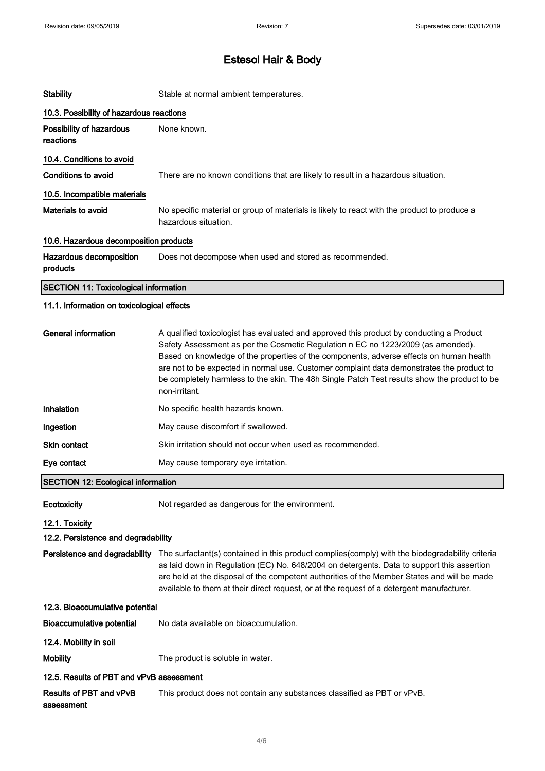| <b>Stability</b>                             | Stable at normal ambient temperatures.                                                                                                                                                                                                                                                                                                                                                                                                                                                |  |  |  |
|----------------------------------------------|---------------------------------------------------------------------------------------------------------------------------------------------------------------------------------------------------------------------------------------------------------------------------------------------------------------------------------------------------------------------------------------------------------------------------------------------------------------------------------------|--|--|--|
| 10.3. Possibility of hazardous reactions     |                                                                                                                                                                                                                                                                                                                                                                                                                                                                                       |  |  |  |
| Possibility of hazardous<br>reactions        | None known.                                                                                                                                                                                                                                                                                                                                                                                                                                                                           |  |  |  |
| 10.4. Conditions to avoid                    |                                                                                                                                                                                                                                                                                                                                                                                                                                                                                       |  |  |  |
| <b>Conditions to avoid</b>                   | There are no known conditions that are likely to result in a hazardous situation.                                                                                                                                                                                                                                                                                                                                                                                                     |  |  |  |
| 10.5. Incompatible materials                 |                                                                                                                                                                                                                                                                                                                                                                                                                                                                                       |  |  |  |
| Materials to avoid                           | No specific material or group of materials is likely to react with the product to produce a<br>hazardous situation.                                                                                                                                                                                                                                                                                                                                                                   |  |  |  |
| 10.6. Hazardous decomposition products       |                                                                                                                                                                                                                                                                                                                                                                                                                                                                                       |  |  |  |
| Hazardous decomposition<br>products          | Does not decompose when used and stored as recommended.                                                                                                                                                                                                                                                                                                                                                                                                                               |  |  |  |
| <b>SECTION 11: Toxicological information</b> |                                                                                                                                                                                                                                                                                                                                                                                                                                                                                       |  |  |  |
| 11.1. Information on toxicological effects   |                                                                                                                                                                                                                                                                                                                                                                                                                                                                                       |  |  |  |
| <b>General information</b>                   | A qualified toxicologist has evaluated and approved this product by conducting a Product<br>Safety Assessment as per the Cosmetic Regulation n EC no 1223/2009 (as amended).<br>Based on knowledge of the properties of the components, adverse effects on human health<br>are not to be expected in normal use. Customer complaint data demonstrates the product to<br>be completely harmless to the skin. The 48h Single Patch Test results show the product to be<br>non-irritant. |  |  |  |
| Inhalation                                   | No specific health hazards known.                                                                                                                                                                                                                                                                                                                                                                                                                                                     |  |  |  |
| Ingestion                                    | May cause discomfort if swallowed.                                                                                                                                                                                                                                                                                                                                                                                                                                                    |  |  |  |
| <b>Skin contact</b>                          | Skin irritation should not occur when used as recommended.                                                                                                                                                                                                                                                                                                                                                                                                                            |  |  |  |
| Eye contact                                  | May cause temporary eye irritation.                                                                                                                                                                                                                                                                                                                                                                                                                                                   |  |  |  |
| <b>SECTION 12: Ecological information</b>    |                                                                                                                                                                                                                                                                                                                                                                                                                                                                                       |  |  |  |
| Ecotoxicity                                  | Not regarded as dangerous for the environment.                                                                                                                                                                                                                                                                                                                                                                                                                                        |  |  |  |
| 12.1. Toxicity                               |                                                                                                                                                                                                                                                                                                                                                                                                                                                                                       |  |  |  |
| 12.2. Persistence and degradability          |                                                                                                                                                                                                                                                                                                                                                                                                                                                                                       |  |  |  |
| Persistence and degradability                | The surfactant(s) contained in this product complies (comply) with the biodegradability criteria<br>as laid down in Regulation (EC) No. 648/2004 on detergents. Data to support this assertion<br>are held at the disposal of the competent authorities of the Member States and will be made<br>available to them at their direct request, or at the request of a detergent manufacturer.                                                                                            |  |  |  |
| 12.3. Bioaccumulative potential              |                                                                                                                                                                                                                                                                                                                                                                                                                                                                                       |  |  |  |
| <b>Bioaccumulative potential</b>             | No data available on bioaccumulation.                                                                                                                                                                                                                                                                                                                                                                                                                                                 |  |  |  |
| 12.4. Mobility in soil                       |                                                                                                                                                                                                                                                                                                                                                                                                                                                                                       |  |  |  |
| <b>Mobility</b>                              | The product is soluble in water.                                                                                                                                                                                                                                                                                                                                                                                                                                                      |  |  |  |
| 12.5. Results of PBT and vPvB assessment     |                                                                                                                                                                                                                                                                                                                                                                                                                                                                                       |  |  |  |
| Results of PBT and vPvB<br>assessment        | This product does not contain any substances classified as PBT or vPvB.                                                                                                                                                                                                                                                                                                                                                                                                               |  |  |  |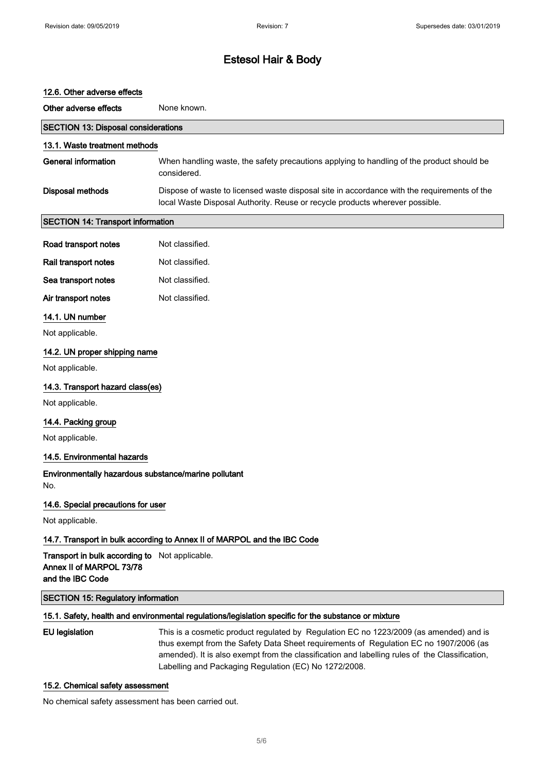| 12.6. Other adverse effects                                                                          |                                                                                                                                                                             |  |  |
|------------------------------------------------------------------------------------------------------|-----------------------------------------------------------------------------------------------------------------------------------------------------------------------------|--|--|
| Other adverse effects                                                                                | None known.                                                                                                                                                                 |  |  |
| <b>SECTION 13: Disposal considerations</b>                                                           |                                                                                                                                                                             |  |  |
| 13.1. Waste treatment methods                                                                        |                                                                                                                                                                             |  |  |
| <b>General information</b>                                                                           | When handling waste, the safety precautions applying to handling of the product should be<br>considered.                                                                    |  |  |
| <b>Disposal methods</b>                                                                              | Dispose of waste to licensed waste disposal site in accordance with the requirements of the<br>local Waste Disposal Authority. Reuse or recycle products wherever possible. |  |  |
| <b>SECTION 14: Transport information</b>                                                             |                                                                                                                                                                             |  |  |
| Road transport notes                                                                                 | Not classified.                                                                                                                                                             |  |  |
| Rail transport notes                                                                                 | Not classified.                                                                                                                                                             |  |  |
| Sea transport notes                                                                                  | Not classified.                                                                                                                                                             |  |  |
| Air transport notes                                                                                  | Not classified.                                                                                                                                                             |  |  |
| 14.1. UN number                                                                                      |                                                                                                                                                                             |  |  |
| Not applicable.                                                                                      |                                                                                                                                                                             |  |  |
| 14.2. UN proper shipping name                                                                        |                                                                                                                                                                             |  |  |
| Not applicable.                                                                                      |                                                                                                                                                                             |  |  |
| 14.3. Transport hazard class(es)                                                                     |                                                                                                                                                                             |  |  |
| Not applicable.                                                                                      |                                                                                                                                                                             |  |  |
| 14.4. Packing group                                                                                  |                                                                                                                                                                             |  |  |
| Not applicable.                                                                                      |                                                                                                                                                                             |  |  |
| 14.5. Environmental hazards                                                                          |                                                                                                                                                                             |  |  |
| Environmentally hazardous substance/marine pollutant<br>No.                                          |                                                                                                                                                                             |  |  |
| 14.6. Special precautions for user                                                                   |                                                                                                                                                                             |  |  |
| Not applicable.                                                                                      |                                                                                                                                                                             |  |  |
|                                                                                                      | 14.7. Transport in bulk according to Annex II of MARPOL and the IBC Code                                                                                                    |  |  |
| Transport in bulk according to Not applicable.<br>Annex II of MARPOL 73/78<br>and the IBC Code       |                                                                                                                                                                             |  |  |
| <b>SECTION 15: Regulatory information</b>                                                            |                                                                                                                                                                             |  |  |
| 15.1. Safety, health and environmental regulations/legislation specific for the substance or mixture |                                                                                                                                                                             |  |  |

EU legislation This is a cosmetic product regulated by Regulation EC no 1223/2009 (as amended) and is thus exempt from the Safety Data Sheet requirements of Regulation EC no 1907/2006 (as amended). It is also exempt from the classification and labelling rules of the Classification, Labelling and Packaging Regulation (EC) No 1272/2008.

### 15.2. Chemical safety assessment

No chemical safety assessment has been carried out.